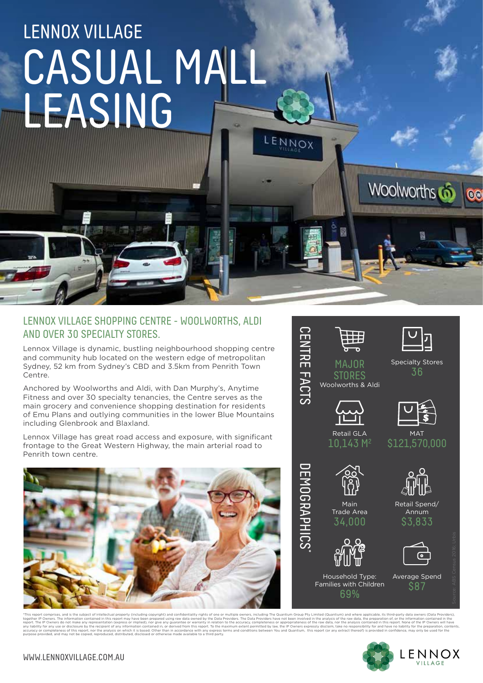# LENNOX VILLAGE CASUAL MALL LEASING ENNOX

#### LENNOX VILLAGE SHOPPING CENTRE - WOOLWORTHS, ALDI AND OVER 30 SPECIALTY STORES.

Lennox Village is dynamic, bustling neighbourhood shopping centre and community hub located on the western edge of metropolitan Sydney, 52 km from Sydney's CBD and 3.5km from Penrith Town Centre.

Anchored by Woolworths and Aldi, with Dan Murphy's, Anytime Fitness and over 30 specialty tenancies, the Centre serves as the main grocery and convenience shopping destination for residents of Emu Plans and outlying communities in the lower Blue Mountains including Glenbrook and Blaxland.

Lennox Village has great road access and exposure, with significant frontage to the Great Western Highway, the main arterial road to Penrith town centre.





ding The Quantium Group Pty Limited (Quantium) and where applicable, its third-party data o<br>widers have not been involved in the analysis of the raw data, the preparation of, or the inform together IP Owners. The information contained in this report may have been prepared using raw data owned by the Data Providers. The Date Providers are appropriateness of the raw data, nor the analysis contained in this rep purpose provided, and may not be copied, reproduced, distributed, disclosed or otherwise made available to a third party.



Woolworths 6

 $\odot$